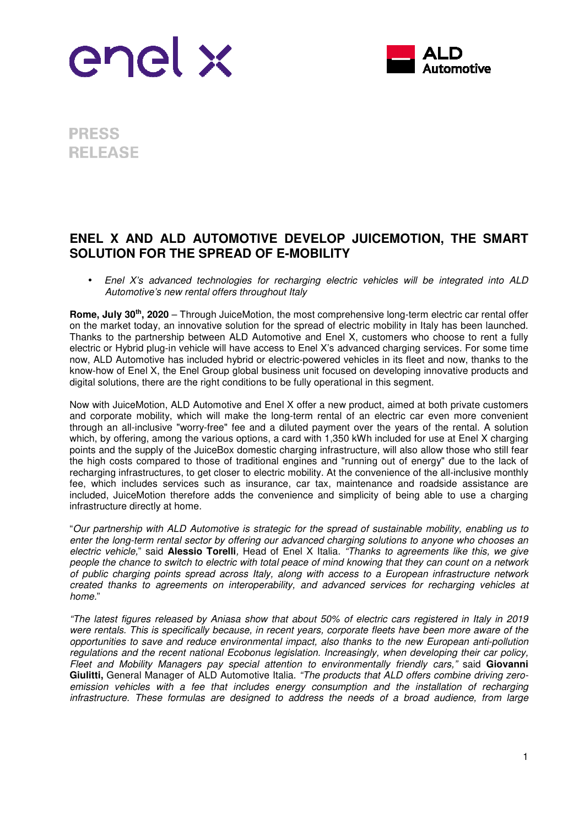



**PRESS RELEASE** 

## **ENEL X AND ALD AUTOMOTIVE DEVELOP JUICEMOTION, THE SMART SOLUTION FOR THE SPREAD OF E-MOBILITY**

• Enel X's advanced technologies for recharging electric vehicles will be integrated into ALD Automotive's new rental offers throughout Italy

**Rome, July 30th, 2020** – Through JuiceMotion, the most comprehensive long-term electric car rental offer on the market today, an innovative solution for the spread of electric mobility in Italy has been launched. Thanks to the partnership between ALD Automotive and Enel X, customers who choose to rent a fully electric or Hybrid plug-in vehicle will have access to Enel X's advanced charging services. For some time now, ALD Automotive has included hybrid or electric-powered vehicles in its fleet and now, thanks to the know-how of Enel X, the Enel Group global business unit focused on developing innovative products and digital solutions, there are the right conditions to be fully operational in this segment.

Now with JuiceMotion, ALD Automotive and Enel X offer a new product, aimed at both private customers and corporate mobility, which will make the long-term rental of an electric car even more convenient through an all-inclusive "worry-free" fee and a diluted payment over the years of the rental. A solution which, by offering, among the various options, a card with 1,350 kWh included for use at Enel X charging points and the supply of the JuiceBox domestic charging infrastructure, will also allow those who still fear the high costs compared to those of traditional engines and "running out of energy" due to the lack of recharging infrastructures, to get closer to electric mobility. At the convenience of the all-inclusive monthly fee, which includes services such as insurance, car tax, maintenance and roadside assistance are included, JuiceMotion therefore adds the convenience and simplicity of being able to use a charging infrastructure directly at home.

"Our partnership with ALD Automotive is strategic for the spread of sustainable mobility, enabling us to enter the long-term rental sector by offering our advanced charging solutions to anyone who chooses an electric vehicle," said **Alessio Torelli**, Head of Enel X Italia. "Thanks to agreements like this, we give people the chance to switch to electric with total peace of mind knowing that they can count on a network of public charging points spread across Italy, along with access to a European infrastructure network created thanks to agreements on interoperability, and advanced services for recharging vehicles at home."

"The latest figures released by Aniasa show that about 50% of electric cars registered in Italy in 2019 were rentals. This is specifically because, in recent years, corporate fleets have been more aware of the opportunities to save and reduce environmental impact, also thanks to the new European anti-pollution regulations and the recent national Ecobonus legislation. Increasingly, when developing their car policy, Fleet and Mobility Managers pay special attention to environmentally friendly cars," said **Giovanni Giulitti,** General Manager of ALD Automotive Italia. "The products that ALD offers combine driving zeroemission vehicles with a fee that includes energy consumption and the installation of recharging infrastructure. These formulas are designed to address the needs of a broad audience, from large